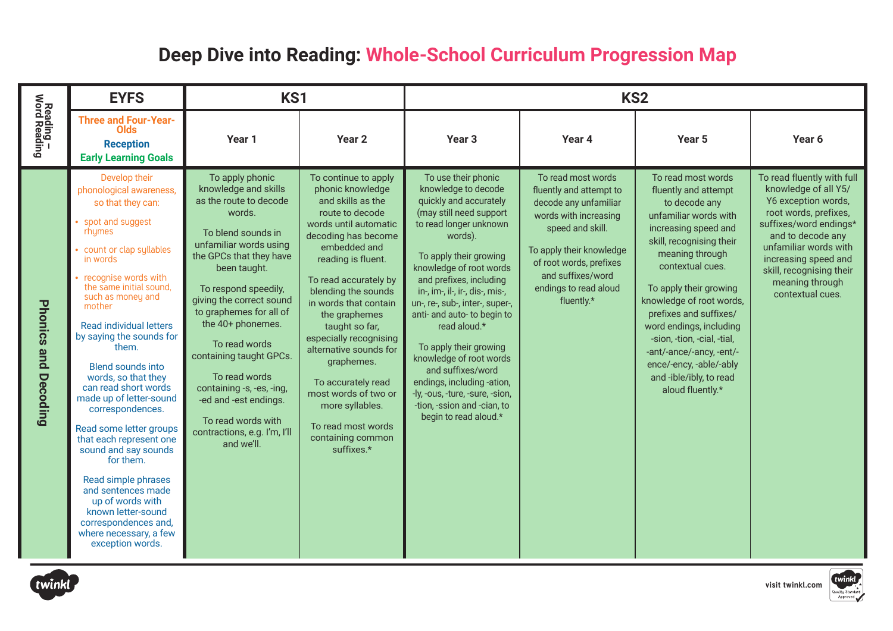## **Deep Dive into Reading: Whole-School Curriculum Progression Map**

|                                       | <b>EYFS</b>                                                                                                                                                                                                                                                                                                                                                                                                                                                                                                                                                                                                                                                                   | KS1                                                                                                                                                                                                                                                                                                                                                                                                                                                               |                                                                                                                                                                                                                                                                                                                                                                                                                                                                                |                                                                                                                                                                                                                                                                                                                                                                                                                                                                                                                                              |                                                                                                                                                                                                                                        | KS <sub>2</sub>                                                                                                                                                                                                                                                                                                                                                                                                                 |                                                                                                                                                                                                                                                                       |
|---------------------------------------|-------------------------------------------------------------------------------------------------------------------------------------------------------------------------------------------------------------------------------------------------------------------------------------------------------------------------------------------------------------------------------------------------------------------------------------------------------------------------------------------------------------------------------------------------------------------------------------------------------------------------------------------------------------------------------|-------------------------------------------------------------------------------------------------------------------------------------------------------------------------------------------------------------------------------------------------------------------------------------------------------------------------------------------------------------------------------------------------------------------------------------------------------------------|--------------------------------------------------------------------------------------------------------------------------------------------------------------------------------------------------------------------------------------------------------------------------------------------------------------------------------------------------------------------------------------------------------------------------------------------------------------------------------|----------------------------------------------------------------------------------------------------------------------------------------------------------------------------------------------------------------------------------------------------------------------------------------------------------------------------------------------------------------------------------------------------------------------------------------------------------------------------------------------------------------------------------------------|----------------------------------------------------------------------------------------------------------------------------------------------------------------------------------------------------------------------------------------|---------------------------------------------------------------------------------------------------------------------------------------------------------------------------------------------------------------------------------------------------------------------------------------------------------------------------------------------------------------------------------------------------------------------------------|-----------------------------------------------------------------------------------------------------------------------------------------------------------------------------------------------------------------------------------------------------------------------|
| Reading –<br>Word Reading             | <b>Three and Four-Year-</b><br>Olds<br><b>Reception</b><br><b>Early Learning Goals</b>                                                                                                                                                                                                                                                                                                                                                                                                                                                                                                                                                                                        | Year 1                                                                                                                                                                                                                                                                                                                                                                                                                                                            | Year <sub>2</sub>                                                                                                                                                                                                                                                                                                                                                                                                                                                              | Year <sub>3</sub>                                                                                                                                                                                                                                                                                                                                                                                                                                                                                                                            | Year 4                                                                                                                                                                                                                                 | Year 5                                                                                                                                                                                                                                                                                                                                                                                                                          | Year 6                                                                                                                                                                                                                                                                |
| <b>Phonics and</b><br><b>Decoding</b> | Develop their<br>phonological awareness,<br>so that they can:<br>spot and suggest<br>rhumes<br>count or clap syllables<br>in words<br>recognise words with<br>the same initial sound,<br>such as money and<br>mother<br><b>Read individual letters</b><br>by saying the sounds for<br>them.<br><b>Blend sounds into</b><br>words, so that they<br>can read short words<br>made up of letter-sound<br>correspondences.<br>Read some letter groups<br>that each represent one<br>sound and say sounds<br>for them.<br>Read simple phrases<br>and sentences made<br>up of words with<br>known letter-sound<br>correspondences and,<br>where necessary, a few<br>exception words. | To apply phonic<br>knowledge and skills<br>as the route to decode<br>words.<br>To blend sounds in<br>unfamiliar words using<br>the GPCs that they have<br>been taught.<br>To respond speedily,<br>giving the correct sound<br>to graphemes for all of<br>the 40+ phonemes.<br>To read words<br>containing taught GPCs.<br>To read words<br>containing -s, -es, -ing,<br>-ed and -est endings.<br>To read words with<br>contractions, e.g. I'm, I'll<br>and we'll. | To continue to apply<br>phonic knowledge<br>and skills as the<br>route to decode<br>words until automatic<br>decoding has become<br>embedded and<br>reading is fluent.<br>To read accurately by<br>blending the sounds<br>in words that contain<br>the graphemes<br>taught so far,<br>especially recognising<br>alternative sounds for<br>graphemes.<br>To accurately read<br>most words of two or<br>more syllables.<br>To read most words<br>containing common<br>suffixes.* | To use their phonic<br>knowledge to decode<br>quickly and accurately<br>(may still need support<br>to read longer unknown<br>words).<br>To apply their growing<br>knowledge of root words<br>and prefixes, including<br>in-, im-, il-, ir-, dis-, mis-,<br>un-, re-, sub-, inter-, super-,<br>anti- and auto- to begin to<br>read aloud.*<br>To apply their growing<br>knowledge of root words<br>and suffixes/word<br>endings, including -ation,<br>-ly, -ous, -ture, -sure, -sion,<br>-tion, -ssion and -cian, to<br>begin to read aloud.* | To read most words<br>fluently and attempt to<br>decode any unfamiliar<br>words with increasing<br>speed and skill.<br>To apply their knowledge<br>of root words, prefixes<br>and suffixes/word<br>endings to read aloud<br>fluently.* | To read most words<br>fluently and attempt<br>to decode any<br>unfamiliar words with<br>increasing speed and<br>skill, recognising their<br>meaning through<br>contextual cues.<br>To apply their growing<br>knowledge of root words,<br>prefixes and suffixes/<br>word endings, including<br>-sion, -tion, -cial, -tial,<br>-ant/-ance/-ancy, -ent/-<br>ence/-ency, -able/-ably<br>and -ible/ibly, to read<br>aloud fluently.* | To read fluently with full<br>knowledge of all Y5/<br>Y6 exception words,<br>root words, prefixes,<br>suffixes/word endings*<br>and to decode any<br>unfamiliar words with<br>increasing speed and<br>skill, recognising their<br>meaning through<br>contextual cues. |



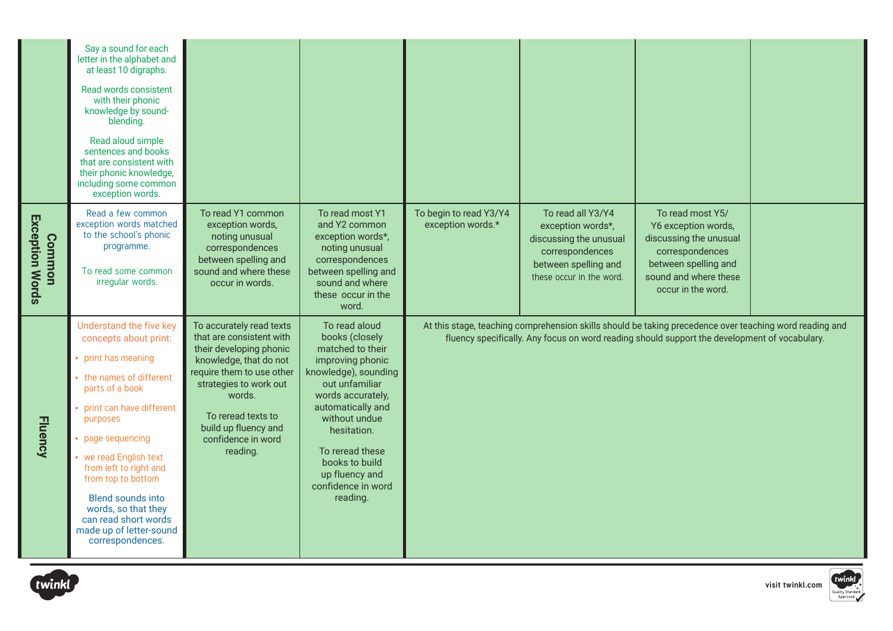|                                         | Say a sound for each<br>letter in the alphabet and<br>at least 10 digraphs.<br>Read words consistent<br>with their phonic<br>knowledge by sound-<br>blending.<br>Read aloud simple<br>sentences and books<br>that are consistent with<br>their phonic knowledge,<br>including some common<br>exception words.                                                                     |                                                                                                                                                                                                                                                            |                                                                                                                                                                                                                                                                                      |                                             |                                                                                                                                         |                                                                                                                                                                                                          |  |
|-----------------------------------------|-----------------------------------------------------------------------------------------------------------------------------------------------------------------------------------------------------------------------------------------------------------------------------------------------------------------------------------------------------------------------------------|------------------------------------------------------------------------------------------------------------------------------------------------------------------------------------------------------------------------------------------------------------|--------------------------------------------------------------------------------------------------------------------------------------------------------------------------------------------------------------------------------------------------------------------------------------|---------------------------------------------|-----------------------------------------------------------------------------------------------------------------------------------------|----------------------------------------------------------------------------------------------------------------------------------------------------------------------------------------------------------|--|
| <b>Exception Words</b><br><b>Common</b> | Read a few common<br>exception words matched<br>to the school's phonic<br>programme.<br>To read some common<br>irregular words.                                                                                                                                                                                                                                                   | To read Y1 common<br>exception words,<br>noting unusual<br>correspondences<br>between spelling and<br>sound and where these<br>occur in words.                                                                                                             | To read most Y1<br>and Y2 common<br>exception words*,<br>noting unusual<br>correspondences<br>between spelling and<br>sound and where<br>these occur in the<br>word.                                                                                                                 | To begin to read Y3/Y4<br>exception words.* | To read all Y3/Y4<br>exception words*,<br>discussing the unusual<br>correspondences<br>between spelling and<br>these occur in the word. | To read most Y5/<br>Y6 exception words,<br>discussing the unusual<br>correspondences<br>between spelling and<br>sound and where these<br>occur in the word.                                              |  |
| <b>Fluency</b>                          | Understand the five key<br>concepts about print:<br>print has meaning<br>• the names of different<br>parts of a book<br>print can have different<br>purposes<br>page sequencing<br>we read English text<br>from left to right and<br>from top to bottom<br><b>Blend sounds into</b><br>words, so that they<br>can read short words<br>made up of letter-sound<br>correspondences. | To accurately read texts<br>that are consistent with<br>their developing phonic<br>knowledge, that do not<br>require them to use other<br>strategies to work out<br>words.<br>To reread texts to<br>build up fluency and<br>confidence in word<br>reading. | To read aloud<br>books (closely<br>matched to their<br>improving phonic<br>knowledge), sounding<br>out unfamiliar<br>words accurately,<br>automatically and<br>without undue<br>hesitation.<br>To reread these<br>books to build<br>up fluency and<br>confidence in word<br>reading. |                                             |                                                                                                                                         | At this stage, teaching comprehension skills should be taking precedence over teaching word reading and<br>fluency specifically. Any focus on word reading should support the development of vocabulary. |  |



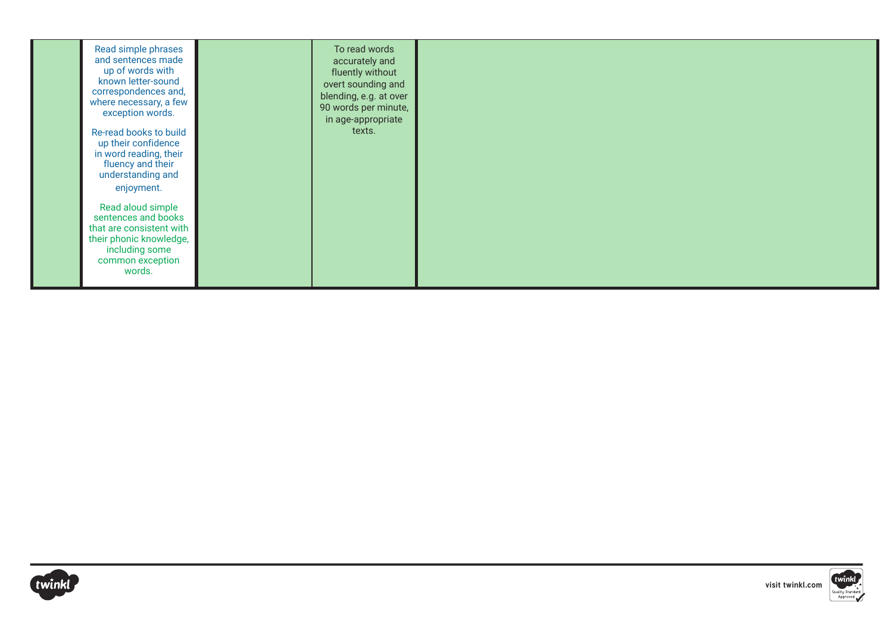| Read simple phrases<br>and sentences made<br>up of words with<br>known letter-sound<br>correspondences and,<br>where necessary, a few<br>exception words.<br>Re-read books to build<br>up their confidence<br>in word reading, their<br>fluency and their<br>understanding and<br>enjoyment. | To read words<br>accurately and<br>fluently without<br>overt sounding and<br>blending, e.g. at over<br>90 words per minute,<br>in age-appropriate<br>texts. |  |
|----------------------------------------------------------------------------------------------------------------------------------------------------------------------------------------------------------------------------------------------------------------------------------------------|-------------------------------------------------------------------------------------------------------------------------------------------------------------|--|
| Read aloud simple<br>sentences and books<br>that are consistent with<br>their phonic knowledge,<br>including some<br>common exception<br>words.                                                                                                                                              |                                                                                                                                                             |  |



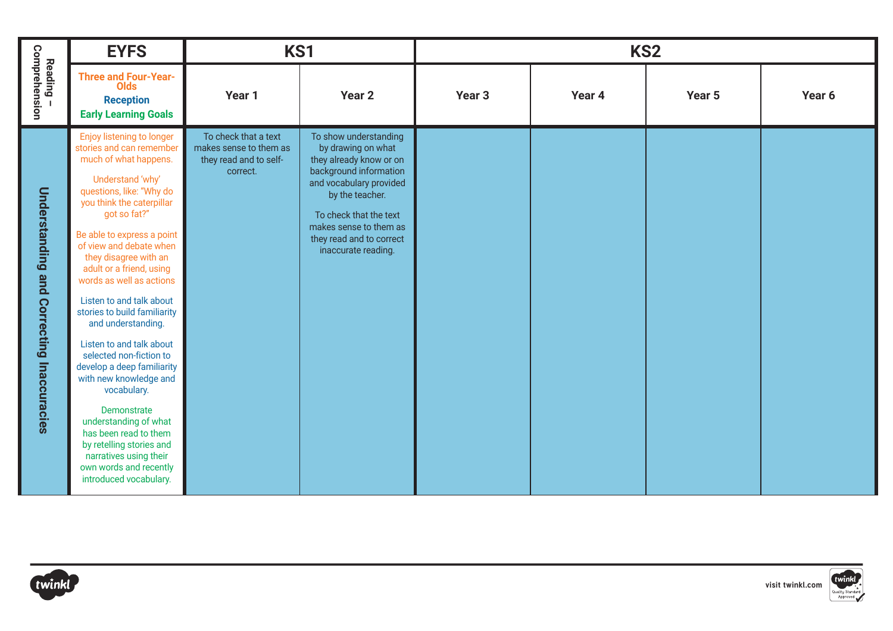|                                           | <b>EYFS</b>                                                                                                                                                                                                                                                                                                                                                                                                                                                                                                                                                                                                                                                                                                      | KS1                                                                                  |                                                                                                                                                                                                                                                       |                   | KS <sub>2</sub> |        |        |
|-------------------------------------------|------------------------------------------------------------------------------------------------------------------------------------------------------------------------------------------------------------------------------------------------------------------------------------------------------------------------------------------------------------------------------------------------------------------------------------------------------------------------------------------------------------------------------------------------------------------------------------------------------------------------------------------------------------------------------------------------------------------|--------------------------------------------------------------------------------------|-------------------------------------------------------------------------------------------------------------------------------------------------------------------------------------------------------------------------------------------------------|-------------------|-----------------|--------|--------|
| Comprehension<br>Reading -                | <b>Three and Four-Year-</b><br><b>Olds</b><br><b>Reception</b><br><b>Early Learning Goals</b>                                                                                                                                                                                                                                                                                                                                                                                                                                                                                                                                                                                                                    | Year 1                                                                               | Year <sub>2</sub>                                                                                                                                                                                                                                     | Year <sub>3</sub> | Year 4          | Year 5 | Year 6 |
| Understanding and Correcting Inaccuracies | Enjoy listening to longer<br>stories and can remember<br>much of what happens.<br>Understand 'why'<br>questions, like: "Why do<br>you think the caterpillar<br>got so fat?"<br>Be able to express a point<br>of view and debate when<br>they disagree with an<br>adult or a friend, using<br>words as well as actions<br>Listen to and talk about<br>stories to build familiarity<br>and understanding.<br>Listen to and talk about<br>selected non-fiction to<br>develop a deep familiarity<br>with new knowledge and<br>vocabulary.<br>Demonstrate<br>understanding of what<br>has been read to them<br>by retelling stories and<br>narratives using their<br>own words and recently<br>introduced vocabulary. | To check that a text<br>makes sense to them as<br>they read and to self-<br>correct. | To show understanding<br>by drawing on what<br>they already know or on<br>background information<br>and vocabulary provided<br>by the teacher.<br>To check that the text<br>makes sense to them as<br>they read and to correct<br>inaccurate reading. |                   |                 |        |        |



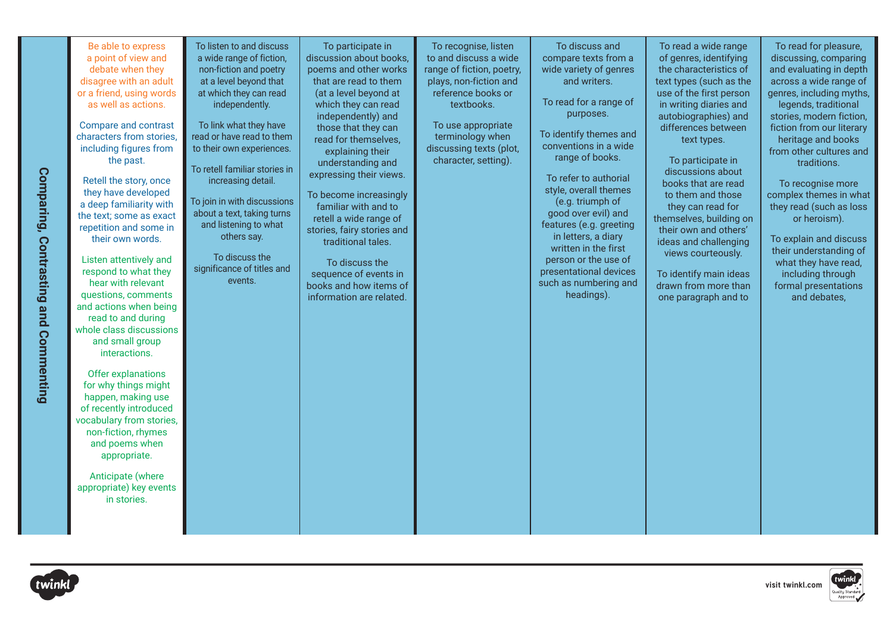| To listen to and discuss<br>Be able to express<br>To participate in<br>To recognise, listen<br>To discuss and<br>To read a wide range<br>To read for pleasure,<br>discussion about books,<br>to and discuss a wide<br>a point of view and<br>a wide range of fiction,<br>compare texts from a<br>of genres, identifying<br>discussing, comparing<br>poems and other works<br>debate when they<br>non-fiction and poetry<br>range of fiction, poetry,<br>wide variety of genres<br>the characteristics of<br>and evaluating in depth<br>disagree with an adult<br>at a level beyond that<br>that are read to them<br>plays, non-fiction and<br>and writers.<br>text types (such as the<br>across a wide range of                                                                                                                                                                                                                                                                                                                                                                                                                                                                                                                                                                                                                                                                                                                                                                                                                                                                                                                                                                                                                                                                                                                                                                                                                                                                                                                                                                                                                                                                                                                                                                                                                                                                                                                                                                                                                                                                                                                                                                                                                                                                                                                                                                                                                    |
|------------------------------------------------------------------------------------------------------------------------------------------------------------------------------------------------------------------------------------------------------------------------------------------------------------------------------------------------------------------------------------------------------------------------------------------------------------------------------------------------------------------------------------------------------------------------------------------------------------------------------------------------------------------------------------------------------------------------------------------------------------------------------------------------------------------------------------------------------------------------------------------------------------------------------------------------------------------------------------------------------------------------------------------------------------------------------------------------------------------------------------------------------------------------------------------------------------------------------------------------------------------------------------------------------------------------------------------------------------------------------------------------------------------------------------------------------------------------------------------------------------------------------------------------------------------------------------------------------------------------------------------------------------------------------------------------------------------------------------------------------------------------------------------------------------------------------------------------------------------------------------------------------------------------------------------------------------------------------------------------------------------------------------------------------------------------------------------------------------------------------------------------------------------------------------------------------------------------------------------------------------------------------------------------------------------------------------------------------------------------------------------------------------------------------------------------------------------------------------------------------------------------------------------------------------------------------------------------------------------------------------------------------------------------------------------------------------------------------------------------------------------------------------------------------------------------------------------------------------------------------------------------------------------------------------|
| reference books or<br>or a friend, using words<br>at which they can read<br>(at a level beyond at<br>use of the first person<br>genres, including myths,<br>To read for a range of<br>which they can read<br>in writing diaries and<br>legends, traditional<br>as well as actions.<br>independently.<br>textbooks.<br>purposes.<br>independently) and<br>autobiographies) and<br>stories, modern fiction,<br>Compare and contrast<br>To link what they have<br>To use appropriate<br>those that they can<br>differences between<br>fiction from our literary<br>To identify themes and<br>read or have read to them<br>terminology when<br>characters from stories,<br>read for themselves.<br>heritage and books<br>text types.<br>conventions in a wide<br>including figures from<br>to their own experiences.<br>discussing texts (plot,<br>explaining their<br>from other cultures and<br>range of books.<br>character, setting).<br>To participate in<br>the past.<br>understanding and<br>traditions.<br>To retell familiar stories in<br>discussions about<br>Comparing, Contrasting and Commenting<br>expressing their views.<br>To refer to authorial<br>Retell the story, once<br>increasing detail.<br>books that are read<br>To recognise more<br>style, overall themes<br>they have developed<br>To become increasingly<br>complex themes in what<br>to them and those<br>To join in with discussions<br>(e.g. triumph of<br>a deep familiarity with<br>familiar with and to<br>they can read for<br>they read (such as loss<br>about a text, taking turns<br>good over evil) and<br>the text; some as exact<br>retell a wide range of<br>themselves, building on<br>or heroism).<br>and listening to what<br>features (e.g. greeting<br>repetition and some in<br>stories, fairy stories and<br>their own and others'<br>in letters, a diary<br>others say.<br>their own words.<br>To explain and discuss<br>traditional tales.<br>ideas and challenging<br>written in the first<br>their understanding of<br>views courteously.<br>To discuss the<br>person or the use of<br>Listen attentively and<br>To discuss the<br>what they have read,<br>significance of titles and<br>respond to what they<br>presentational devices<br>sequence of events in<br>To identify main ideas<br>including through<br>events.<br>hear with relevant<br>such as numbering and<br>books and how items of<br>drawn from more than<br>formal presentations<br>questions, comments<br>headings).<br>information are related.<br>one paragraph and to<br>and debates,<br>and actions when being<br>read to and during<br>whole class discussions<br>and small group<br>interactions.<br>Offer explanations<br>for why things might<br>happen, making use<br>of recently introduced<br>vocabulary from stories,<br>non-fiction, rhymes<br>and poems when<br>appropriate.<br>Anticipate (where<br>appropriate) key events<br>in stories. |



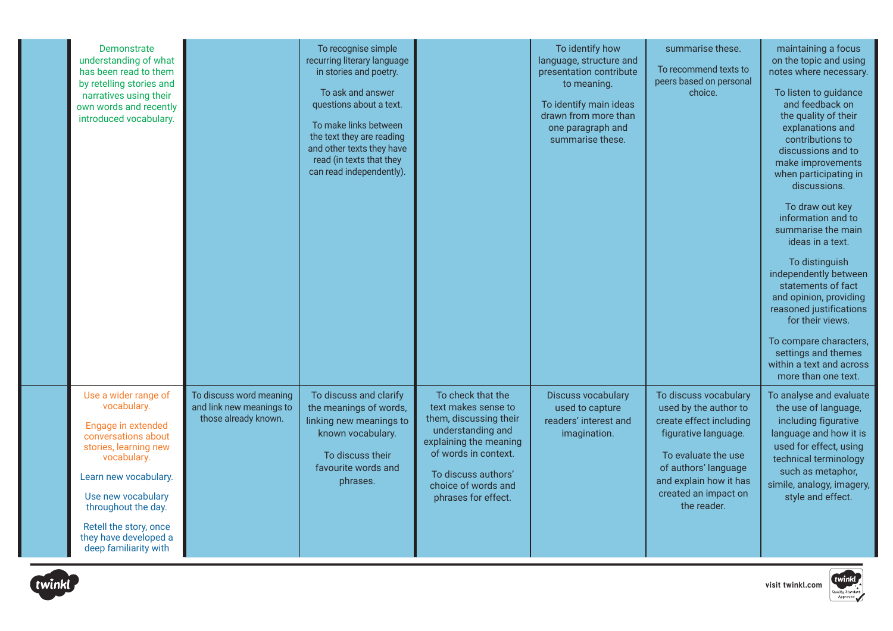| Demonstrate<br>understanding of what<br>has been read to them<br>by retelling stories and<br>narratives using their<br>own words and recently<br>introduced vocabulary.                                                                                                    |                                                                             | To recognise simple<br>recurring literary language<br>in stories and poetry.<br>To ask and answer<br>questions about a text.<br>To make links between<br>the text they are reading<br>and other texts they have<br>read (in texts that they<br>can read independently). |                                                                                                                                                                                                                | To identify how<br>language, structure and<br>presentation contribute<br>to meaning.<br>To identify main ideas<br>drawn from more than<br>one paragraph and<br>summarise these. | summarise these.<br>To recommend texts to<br>peers based on personal<br>choice.                                                                                                                                   | maintaining a focus<br>on the topic and using<br>notes where necessary.<br>To listen to guidance<br>and feedback on<br>the quality of their<br>explanations and<br>contributions to<br>discussions and to<br>make improvements<br>when participating in<br>discussions.<br>To draw out key<br>information and to<br>summarise the main<br>ideas in a text.<br>To distinguish<br>independently between<br>statements of fact<br>and opinion, providing<br>reasoned justifications<br>for their views.<br>To compare characters,<br>settings and themes<br>within a text and across<br>more than one text. |
|----------------------------------------------------------------------------------------------------------------------------------------------------------------------------------------------------------------------------------------------------------------------------|-----------------------------------------------------------------------------|-------------------------------------------------------------------------------------------------------------------------------------------------------------------------------------------------------------------------------------------------------------------------|----------------------------------------------------------------------------------------------------------------------------------------------------------------------------------------------------------------|---------------------------------------------------------------------------------------------------------------------------------------------------------------------------------|-------------------------------------------------------------------------------------------------------------------------------------------------------------------------------------------------------------------|----------------------------------------------------------------------------------------------------------------------------------------------------------------------------------------------------------------------------------------------------------------------------------------------------------------------------------------------------------------------------------------------------------------------------------------------------------------------------------------------------------------------------------------------------------------------------------------------------------|
| Use a wider range of<br>vocabulary.<br>Engage in extended<br>conversations about<br>stories, learning new<br>vocabulary.<br>Learn new vocabulary.<br>Use new vocabulary<br>throughout the day.<br>Retell the story, once<br>they have developed a<br>deep familiarity with | To discuss word meaning<br>and link new meanings to<br>those already known. | To discuss and clarify<br>the meanings of words,<br>linking new meanings to<br>known vocabulary.<br>To discuss their<br>favourite words and<br>phrases.                                                                                                                 | To check that the<br>text makes sense to<br>them, discussing their<br>understanding and<br>explaining the meaning<br>of words in context.<br>To discuss authors'<br>choice of words and<br>phrases for effect. | <b>Discuss vocabulary</b><br>used to capture<br>readers' interest and<br>imagination.                                                                                           | To discuss vocabulary<br>used by the author to<br>create effect including<br>figurative language.<br>To evaluate the use<br>of authors' language<br>and explain how it has<br>created an impact on<br>the reader. | To analyse and evaluate<br>the use of language,<br>including figurative<br>language and how it is<br>used for effect, using<br>technical terminology<br>such as metaphor,<br>simile, analogy, imagery,<br>style and effect.                                                                                                                                                                                                                                                                                                                                                                              |



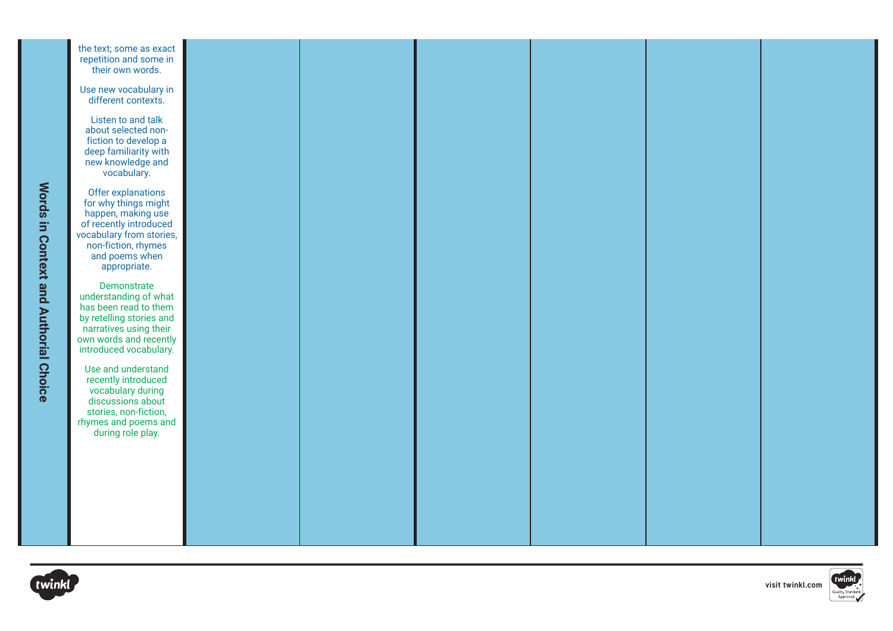





**[visit twinkl.com](https://www.twinkl.co.uk/resource/deep-dive-into-reading-self-review-and-resource-pack-t-e-2548595)**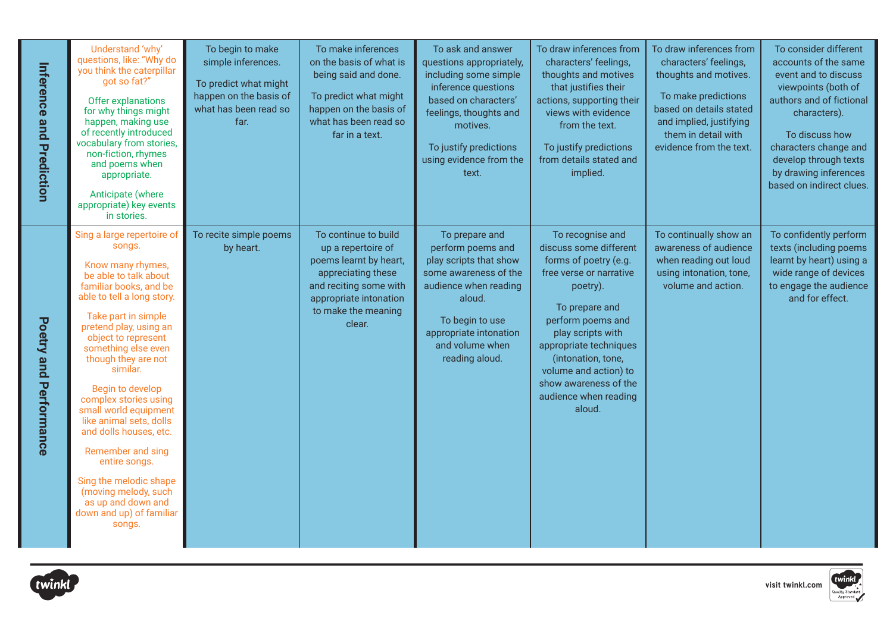| <b>Inference and Prediction</b> | Understand 'why'<br>questions, like: "Why do<br>you think the caterpillar<br>got so fat?"<br>Offer explanations<br>for why things might<br>happen, making use<br>of recently introduced<br>vocabulary from stories,<br>non-fiction, rhymes<br>and poems when<br>appropriate.<br>Anticipate (where<br>appropriate) key events<br>in stories.                                                                                                                                                                                                                 | To begin to make<br>simple inferences.<br>To predict what might<br>happen on the basis of<br>what has been read so<br>far. | To make inferences<br>on the basis of what is<br>being said and done.<br>To predict what might<br>happen on the basis of<br>what has been read so<br>far in a text.             | To ask and answer<br>questions appropriately,<br>including some simple<br>inference questions<br>based on characters'<br>feelings, thoughts and<br>motives.<br>To justify predictions<br>using evidence from the<br>text. | To draw inferences from<br>characters' feelings,<br>thoughts and motives<br>that justifies their<br>actions, supporting their<br>views with evidence<br>from the text.<br>To justify predictions<br>from details stated and<br>implied.                                                                     | To draw inferences from<br>characters' feelings,<br>thoughts and motives.<br>To make predictions<br>based on details stated<br>and implied, justifying<br>them in detail with<br>evidence from the text. | To consider different<br>accounts of the same<br>event and to discuss<br>viewpoints (both of<br>authors and of fictional<br>characters).<br>To discuss how<br>characters change and<br>develop through texts<br>by drawing inferences<br>based on indirect clues. |
|---------------------------------|-------------------------------------------------------------------------------------------------------------------------------------------------------------------------------------------------------------------------------------------------------------------------------------------------------------------------------------------------------------------------------------------------------------------------------------------------------------------------------------------------------------------------------------------------------------|----------------------------------------------------------------------------------------------------------------------------|---------------------------------------------------------------------------------------------------------------------------------------------------------------------------------|---------------------------------------------------------------------------------------------------------------------------------------------------------------------------------------------------------------------------|-------------------------------------------------------------------------------------------------------------------------------------------------------------------------------------------------------------------------------------------------------------------------------------------------------------|----------------------------------------------------------------------------------------------------------------------------------------------------------------------------------------------------------|-------------------------------------------------------------------------------------------------------------------------------------------------------------------------------------------------------------------------------------------------------------------|
| Poetry<br>and Performance       | Sing a large repertoire of<br>songs.<br>Know many rhymes,<br>be able to talk about<br>familiar books, and be<br>able to tell a long story.<br>Take part in simple<br>pretend play, using an<br>object to represent<br>something else even<br>though they are not<br>similar.<br>Begin to develop<br>complex stories using<br>small world equipment<br>like animal sets, dolls<br>and dolls houses, etc.<br>Remember and sing<br>entire songs.<br>Sing the melodic shape<br>(moving melody, such<br>as up and down and<br>down and up) of familiar<br>songs. | To recite simple poems<br>by heart.                                                                                        | To continue to build<br>up a repertoire of<br>poems learnt by heart,<br>appreciating these<br>and reciting some with<br>appropriate intonation<br>to make the meaning<br>clear. | To prepare and<br>perform poems and<br>play scripts that show<br>some awareness of the<br>audience when reading<br>aloud.<br>To begin to use<br>appropriate intonation<br>and volume when<br>reading aloud.               | To recognise and<br>discuss some different<br>forms of poetry (e.g.<br>free verse or narrative<br>poetry).<br>To prepare and<br>perform poems and<br>play scripts with<br>appropriate techniques<br>(intonation, tone,<br>volume and action) to<br>show awareness of the<br>audience when reading<br>aloud. | To continually show an<br>awareness of audience<br>when reading out loud<br>using intonation, tone,<br>volume and action.                                                                                | To confidently perform<br>texts (including poems<br>learnt by heart) using a<br>wide range of devices<br>to engage the audience<br>and for effect.                                                                                                                |



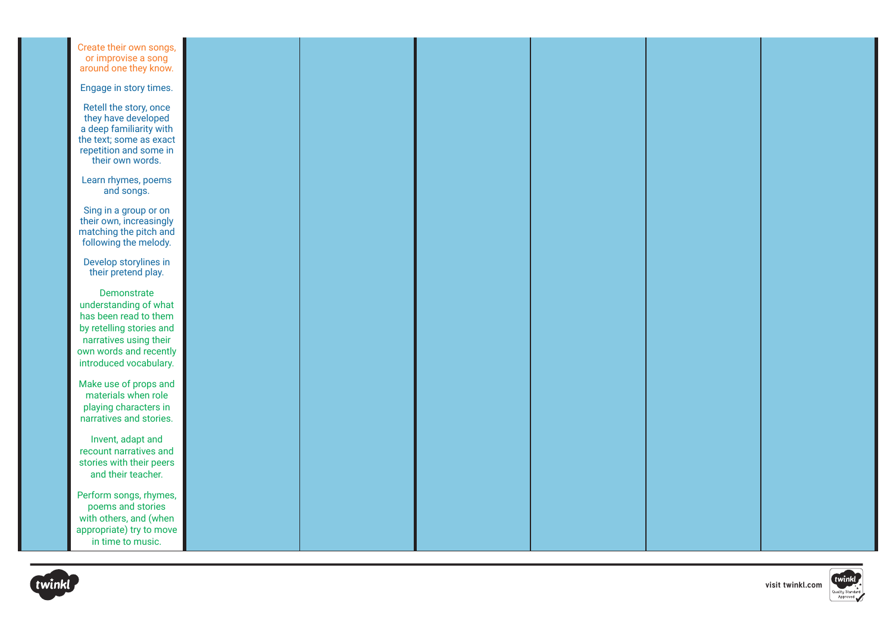| Create their own songs,<br>or improvise a song<br>around one they know.                                                                                                 |  |  |  |
|-------------------------------------------------------------------------------------------------------------------------------------------------------------------------|--|--|--|
| Engage in story times.                                                                                                                                                  |  |  |  |
| Retell the story, once<br>they have developed<br>a deep familiarity with<br>the text; some as exact<br>repetition and some in<br>their own words.                       |  |  |  |
| Learn rhymes, poems<br>and songs.                                                                                                                                       |  |  |  |
| Sing in a group or on<br>their own, increasingly<br>matching the pitch and<br>following the melody.                                                                     |  |  |  |
| Develop storylines in<br>their pretend play.                                                                                                                            |  |  |  |
| Demonstrate<br>understanding of what<br>has been read to them<br>by retelling stories and<br>narratives using their<br>own words and recently<br>introduced vocabulary. |  |  |  |
| Make use of props and<br>materials when role<br>playing characters in<br>narratives and stories.                                                                        |  |  |  |
| Invent, adapt and<br>recount narratives and<br>stories with their peers<br>and their teacher.                                                                           |  |  |  |
| Perform songs, rhymes,<br>poems and stories<br>with others, and (when<br>appropriate) try to move<br>in time to music.                                                  |  |  |  |